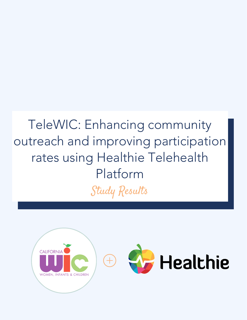# TeleWIC: Enhancing community outreach and improving participation rates using Healthie Telehealth Platform Study Results

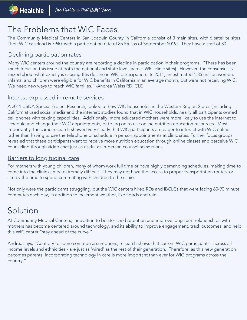### The Problems that WIC Faces

The Community Medical Centers in San Joaquin County in California consist of 3 main sites, with 6 satellite sites. Their WIC caseload is 7940, with a participation rate of 85.5% (as of September 2019). They have a staff of 30.

#### Declining participation rates

Many WIC centers around the country are reporting a decline in participation in their programs. "There has been much focus on this issue at both the national and state level [across WIC clinic sites]. However, the consensus is mixed about what exactly is causing this decline in WIC participation. In 2011, an estimated 1.85 million women, infants, and children were eligible for WIC benefits in California in an average month, but were not receiving WIC. We need new ways to reach WIC families." -Andrea Weiss RD, CLE

#### Interest expressed in remote services

A 2011 USDA Special Project Research, looked at how WIC households in the Western Region States (including California) used social media and the internet; studies found that in WIC households, nearly all participants owned cell phones with texting capabilities. Additionally, more educated mothers were more likely to use the internet to schedule and change their WIC appointments, or to log on to use online nutrition education resources. Most importantly, the same research showed very clearly that WIC participants are eager to interact with WIC online rather than having to use the telephone or schedule in person appointments at clinic sites. Further focus groups revealed that these participants want to receive more nutrition education through online classes and perceive WIC counseling through video chat just as useful as in-person counseling sessions.

#### Barriers to longitudinal care

For mothers with young children, many of whom work full time or have highly demanding schedules, making time to come into the clinic can be extremely difficult. They may not have the access to proper transportation routes, or simply the time to spend commuting with children to the clinics.

Not only were the participants struggling, but the WIC centers hired RDs and IBCLCs that were facing 60-90 minute commutes each day, in addition to inclement weather, like floods and rain.

### Solution

At Community Medical Centers, innovation to bolster child retention and improve long-term relationships with mothers has become centered around technology, and its ability to improve engagement, track outcomes, and help this WIC center "stay ahead of the curve."

Andrea says, "Contrary to some common assumptions, research shows that current WIC participants - across all income levels and ethnicities - are just as 'wired' as the rest of their generation. Therefore, as this new generation becomes parents, incorporating technology in care is more important than ever for WIC programs across the country."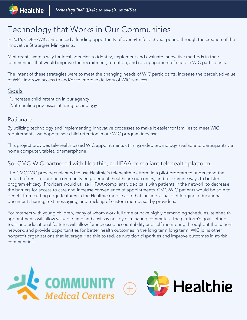### Technology that Works in Our Communities

In 2016, CDPH/WIC announced a funding opportunity of over \$4m for a 3 year period through the creation of the Innovative Strategies Mini-grants.

Mini-grants were a way for local agencies to identify, implement and evaluate innovative methods in their communities that would improve the recruitment, retention, and re-engagement of eligible WIC participants.

The intent of these strategies were to meet the changing needs of WIC participants, increase the perceived value of WIC, improve access to and/or to improve delivery of WIC services.

#### Goals

- 1. Increase child retention in our agency
- 2. Streamline processes utilizing technology

#### Rationale

By utilizing technology and implementing innovative processes to make it easier for families to meet WIC requirements, we hope to see child retention in our WIC program increase.

This project provides telehealth based WIC appointments utilizing video technology available to participants via home computer, tablet, or smartphone.

#### So, CMC-WIC partnered with Healthie, a HIPAA-compliant telehealth platform.

The CMC-WIC providers planned to use Healthie's telehealth platform in a pilot program to understand the impact of remote care on community engagement, healthcare outcomes, and to examine ways to bolster program efficacy. Providers would utilize HIPAA-compliant video calls with patients in the network to decrease the barriers for access to care and increase convenience of appointments. CMC-WIC patients would be able to benefit from cutting edge features in the Healthie mobile app that include visual diet logging, educational document sharing, text messaging, and tracking of custom metrics set by providers.

For mothers with young children, many of whom work full time or have highly demanding schedules, telehealth appointments will allow valuable time and cost savings by eliminating commutes. The platform's goal setting tools and educational features will allow for increased accountability and self-monitoring throughout the patient network, and provide opportunities for better health outcomes in the long term long term. WIC joins other nonprofit organizations that leverage Healthie to reduce nutrition disparities and improve outcomes in at-risk communities.

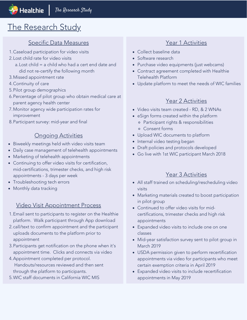### The Research Study

#### Specific Data Measures The Contract of the Year 1 Activities

- Caseload participation for video visits 1.
- Lost child rate for video visits 2.
	- Lost child = a child who had a cert end date and a. did not re-certify the following month
- Missed appointment rate 3.
- Continuity of care 4.
- 5. Pilot group demographics
- 6. Percentage of pilot group who obtain medical care at parent agency health center
- Monitor agency wide participation rates for 7. improvement
- 8. Participant survey: mid-year and final

#### Ongoing Activities

- Biweekly meetings held with video visits team
- Daily case management of telehealth appointments
- Marketing of telehealth appointments
- Continuing to offer video visits for certification, mid-certifications, trimester checks, and high risk appointments - 3 days per week
- Troubleshooting tech errors
- Monthly data tracking

#### Video Visit Appointment Process

- 1. Email sent to participants to register on the Healthie platform. Walk participant through App download
- 2. call/text to confirm appointment and the participant uploads documents to the platform prior to appointment
- 3. Participants get notification on the phone when it's appointment time. Clicks and connects via video
- 4. Appointment completed per protocol. Handouts/resources reviewed and then sent through the platform to participants.
- WIC staff documents in California WIC MIS 5.

- Collect baseline data
- Software research
- Purchase video equipments (just webcams)
- Contract agreement completed with Healthie Telehealth Platform
- Update platform to meet the needs of WIC families

#### Year 2 Activities

- Video visits team created RD, & 2 WNAs
- eSign forms created within the platform
	- Participant rights & responsibilities
	- Consent forms
- Upload WIC documents to platform
- Internal video testing began
- Draft policies and protocols developed
- Go live with 1st WIC participant March 2018

#### Year 3 Activities

- All staff trained on scheduling/rescheduling video visits
- Marketing materials created to boost participation in pilot group
- Continued to offer video visits for midcertifications, trimester checks and high risk appointments
- Expanded video visits to include one on one classes
- Mid-year satisfaction survey sent to pilot group in March 2019
- USDA permission given to perform recertification appointments via video for participants who meet certain exemption criteria in April 2019
- Expanded video visits to include recertification appointments in May 2019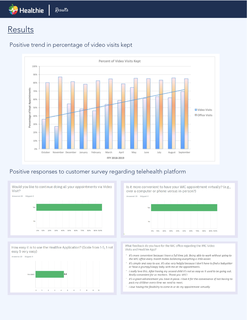## $\frac{1}{\sqrt{2}}$  Healthie  $\frac{1}{\sqrt{2}}$  Results

### **Results**



#### Positive trend in percentage of video visits kept

#### Positive responses to customer survey regarding telehealth platform



How easy it is to use the Healthie Application? (Scale from 1-5, 1 not easy 5 very easy)



Is it more convenient to have your WIC appointment virtually? (e.g., over a computer or phone versus in-person?)

Answered: 20 Skipped: 0



What feedback do you have for the WIC office regarding the WIC Video Visits and Healthie App?

- It's more convenient because I have a full time job. Being able to work without going to the WIC office every month makes balancing everything a little easier.
- It's simple and easy to use. It's also very helpful because I don't have to find a babysitter or have a grumpy/sleepy baby with me at the appointments.
- I really love this. After having my second child it's not as easy as it used to be going out. Really convenient for us mothers. Thank you WIC!
- $-$  It's a great advancement you have in place. I love it for the convenience of not having to pack my children every time we need to meet.
- I love having the flexibility to come in or do my appointment virtually.